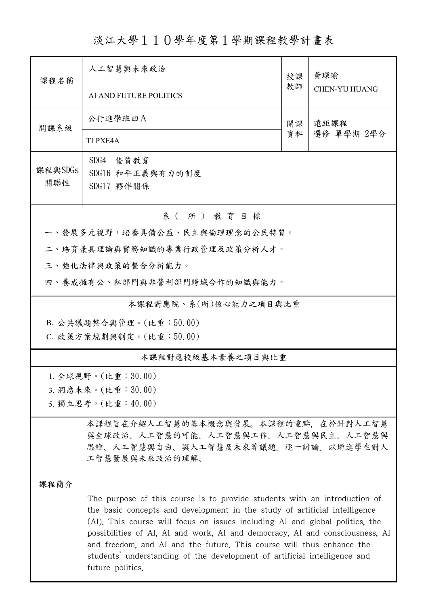## 淡江大學110學年度第1學期課程教學計畫表

| 課程名稱                          | 人工智慧與未來政治                                                                                                                                                                                                                                                                                                                                                                                                                                                                                         | 授課       | 黃琛瑜<br><b>CHEN-YU HUANG</b> |  |  |  |  |  |
|-------------------------------|---------------------------------------------------------------------------------------------------------------------------------------------------------------------------------------------------------------------------------------------------------------------------------------------------------------------------------------------------------------------------------------------------------------------------------------------------------------------------------------------------|----------|-----------------------------|--|--|--|--|--|
|                               | AI AND FUTURE POLITICS                                                                                                                                                                                                                                                                                                                                                                                                                                                                            | 教師       |                             |  |  |  |  |  |
| 開課系級                          | 公行進學班四A                                                                                                                                                                                                                                                                                                                                                                                                                                                                                           | 開課<br>資料 | 遠距課程<br>選修 單學期 2學分          |  |  |  |  |  |
|                               | <b>TLPXE4A</b>                                                                                                                                                                                                                                                                                                                                                                                                                                                                                    |          |                             |  |  |  |  |  |
| 課程與SDGs<br>關聯性                | SDG4 優質教育<br>SDG16 和平正義與有力的制度<br>SDG17 夥伴關係                                                                                                                                                                                                                                                                                                                                                                                                                                                       |          |                             |  |  |  |  |  |
| 系(所)教育目標                      |                                                                                                                                                                                                                                                                                                                                                                                                                                                                                                   |          |                             |  |  |  |  |  |
| 一、發展多元視野,培養具備公益、民主與倫理理念的公民特質。 |                                                                                                                                                                                                                                                                                                                                                                                                                                                                                                   |          |                             |  |  |  |  |  |
| 二、培育兼具理論與實務知識的專業行政管理及政策分析人才。  |                                                                                                                                                                                                                                                                                                                                                                                                                                                                                                   |          |                             |  |  |  |  |  |
| 三、強化法律與政策的整合分析能力。             |                                                                                                                                                                                                                                                                                                                                                                                                                                                                                                   |          |                             |  |  |  |  |  |
| 四、養成擁有公、私部門與非營利部門跨域合作的知識與能力。  |                                                                                                                                                                                                                                                                                                                                                                                                                                                                                                   |          |                             |  |  |  |  |  |
| 本課程對應院、系(所)核心能力之項目與比重         |                                                                                                                                                                                                                                                                                                                                                                                                                                                                                                   |          |                             |  |  |  |  |  |
| B. 公共議題整合與管理。(比重:50.00)       |                                                                                                                                                                                                                                                                                                                                                                                                                                                                                                   |          |                             |  |  |  |  |  |
| C. 政策方案規劃與制定。(比重:50.00)       |                                                                                                                                                                                                                                                                                                                                                                                                                                                                                                   |          |                             |  |  |  |  |  |
| 本課程對應校級基本素養之項目與比重             |                                                                                                                                                                                                                                                                                                                                                                                                                                                                                                   |          |                             |  |  |  |  |  |
| 1. 全球視野。(比重: $30.00$ )        |                                                                                                                                                                                                                                                                                                                                                                                                                                                                                                   |          |                             |  |  |  |  |  |
| 3. 洞悉未來。(比重:30.00)            |                                                                                                                                                                                                                                                                                                                                                                                                                                                                                                   |          |                             |  |  |  |  |  |
|                               | 5. 獨立思考。(比重:40.00)                                                                                                                                                                                                                                                                                                                                                                                                                                                                                |          |                             |  |  |  |  |  |
| 课程简介                          | 本課程旨在介紹人工智慧的基本概念與發展。本課程的重點,在於針對人工智慧<br>與全球政治、人工智慧的可能、人工智慧與工作、人工智慧與民主、人工智慧與<br>思維、人工智慧與自由、與人工智慧及未來等議題,逐一討論,以增進學生對人<br>工智慧發展與未來政治的理解。                                                                                                                                                                                                                                                                                                                                                               |          |                             |  |  |  |  |  |
|                               | The purpose of this course is to provide students with an introduction of<br>the basic concepts and development in the study of artificial intelligence<br>(AI). This course will focus on issues including AI and global politics, the<br>possibilities of AI, AI and work, AI and democracy, AI and consciousness, AI<br>and freedom, and AI and the future. This course will thus enhance the<br>students' understanding of the development of artificial intelligence and<br>future politics. |          |                             |  |  |  |  |  |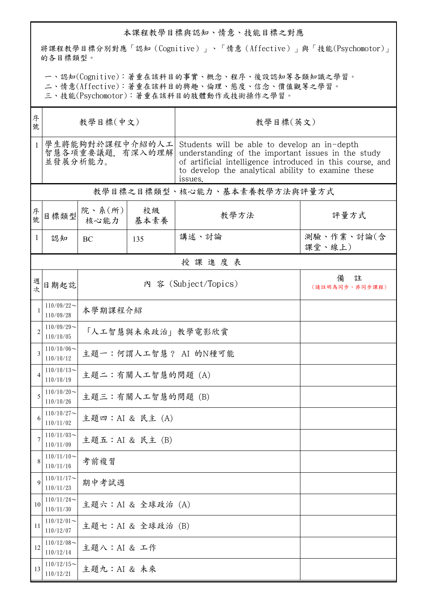## 本課程教學目標與認知、情意、技能目標之對應

將課程教學目標分別對應「認知(Cognitive)」、「情意(Affective)」與「技能(Psychomotor)」 的各目標類型。

一、認知(Cognitive):著重在該科目的事實、概念、程序、後設認知等各類知識之學習。

二、情意(Affective):著重在該科目的興趣、倫理、態度、信念、價值觀等之學習。

三、技能(Psychomotor):著重在該科目的肢體動作或技術操作之學習。

| 序<br>號         | 教學目標(中文)                                       |                      |            | 教學目標(英文)                                                                                                                                                                                                                         |                          |  |  |  |
|----------------|------------------------------------------------|----------------------|------------|----------------------------------------------------------------------------------------------------------------------------------------------------------------------------------------------------------------------------------|--------------------------|--|--|--|
| $\mathbf{1}$   | 學生將能夠對於課程中介紹的人工<br>智慧各項重要議題,有深入的理解<br>並發展分析能力。 |                      |            | Students will be able to develop an in-depth<br>understanding of the important issues in the study<br>of artificial intelligence introduced in this course, and<br>to develop the analytical ability to examine these<br>issues. |                          |  |  |  |
|                | 教學目標之目標類型、核心能力、基本素養教學方法與評量方式                   |                      |            |                                                                                                                                                                                                                                  |                          |  |  |  |
| 序號             | 目標類型                                           | 院、系(所)<br>核心能力       | 校級<br>基本素養 | 教學方法                                                                                                                                                                                                                             | 評量方式                     |  |  |  |
| $\mathbf{1}$   | 認知                                             | BC                   | 135        | 講述、討論                                                                                                                                                                                                                            | 測驗、作業、討論(含<br>課堂、線上)     |  |  |  |
|                | 授課進度表                                          |                      |            |                                                                                                                                                                                                                                  |                          |  |  |  |
| 週<br>坎         | 日期起訖                                           |                      |            | 內 容 (Subject/Topics)                                                                                                                                                                                                             | 備<br>註<br>(請註明為同步、非同步課程) |  |  |  |
|                | $110/09/22$ ~<br>110/09/28                     | 本學期課程介紹              |            |                                                                                                                                                                                                                                  |                          |  |  |  |
| $\overline{c}$ | $110/09/29$ ~<br>110/10/05                     | 「人工智慧與未來政治」教學電影欣賞    |            |                                                                                                                                                                                                                                  |                          |  |  |  |
| 3              | $110/10/06 \sim$<br>110/10/12                  | 主題一:何謂人工智慧? AI 的N種可能 |            |                                                                                                                                                                                                                                  |                          |  |  |  |
|                | $110/10/13$ ~<br>110/10/19                     | 主題二:有關人工智慧的問題 (A)    |            |                                                                                                                                                                                                                                  |                          |  |  |  |
|                | $110/10/20$ ~<br>110/10/26                     | 主題三:有關人工智慧的問題 (B)    |            |                                                                                                                                                                                                                                  |                          |  |  |  |
|                | $110/10/27$ ~<br>110/11/02                     | 主題四: AI & 民主 (A)     |            |                                                                                                                                                                                                                                  |                          |  |  |  |
|                | $110/11/03$ ~<br>110/11/09                     | 主題五: AI & 民主 (B)     |            |                                                                                                                                                                                                                                  |                          |  |  |  |
| 8              | $110/11/10$ ~<br>110/11/16                     | 考前複習                 |            |                                                                                                                                                                                                                                  |                          |  |  |  |
| 9              | $110/11/17$ ~<br>110/11/23                     | 期中考試週                |            |                                                                                                                                                                                                                                  |                          |  |  |  |
| 10             | $110/11/24$ ~<br>110/11/30                     | 主題六: AI & 全球政治 (A)   |            |                                                                                                                                                                                                                                  |                          |  |  |  |
| 11             | $110/12/01$ ~<br>110/12/07                     | 主題七: AI & 全球政治 (B)   |            |                                                                                                                                                                                                                                  |                          |  |  |  |
| 12             | $110/12/08$ ~<br>110/12/14                     | 主題八: AI & 工作         |            |                                                                                                                                                                                                                                  |                          |  |  |  |
| 13             | $110/12/15$ ~<br>110/12/21                     | 主題九: AI & 未來         |            |                                                                                                                                                                                                                                  |                          |  |  |  |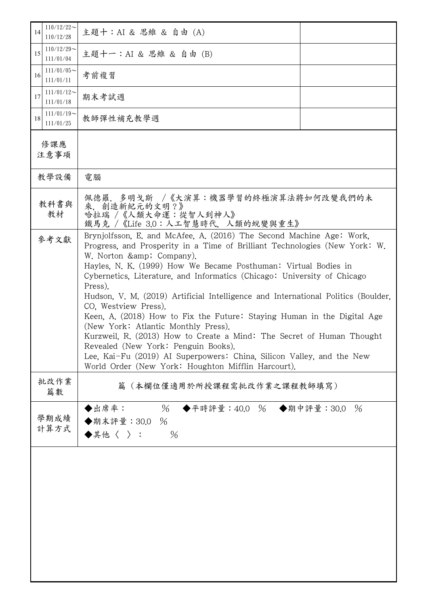| $110/12/22$ ~<br>14<br>110/12/28 | 主題十: AI & 思維 & 自由 (A)                                                                                                                                                                                                                                                                                                                                                                                                                                                                                                                                                                                                                                                                                                                                                                                               |  |  |
|----------------------------------|---------------------------------------------------------------------------------------------------------------------------------------------------------------------------------------------------------------------------------------------------------------------------------------------------------------------------------------------------------------------------------------------------------------------------------------------------------------------------------------------------------------------------------------------------------------------------------------------------------------------------------------------------------------------------------------------------------------------------------------------------------------------------------------------------------------------|--|--|
| $110/12/29$ ~<br>15<br>111/01/04 | 主題十一: AI & 思維 & 自由 (B)                                                                                                                                                                                                                                                                                                                                                                                                                                                                                                                                                                                                                                                                                                                                                                                              |  |  |
| $111/01/05$ ~<br>16<br>111/01/11 | 考前複習                                                                                                                                                                                                                                                                                                                                                                                                                                                                                                                                                                                                                                                                                                                                                                                                                |  |  |
| $111/01/12$ ~<br>17<br>111/01/18 | 期末考試週                                                                                                                                                                                                                                                                                                                                                                                                                                                                                                                                                                                                                                                                                                                                                                                                               |  |  |
| $111/01/19$ ~<br>18<br>111/01/25 | 教師彈性補充教學週                                                                                                                                                                                                                                                                                                                                                                                                                                                                                                                                                                                                                                                                                                                                                                                                           |  |  |
| 修課應<br>注意事項                      |                                                                                                                                                                                                                                                                                                                                                                                                                                                                                                                                                                                                                                                                                                                                                                                                                     |  |  |
| 教學設備                             | 電腦                                                                                                                                                                                                                                                                                                                                                                                                                                                                                                                                                                                                                                                                                                                                                                                                                  |  |  |
| 教科書與<br>教材                       | 佩德羅. 多明戈斯 /《大演算:機器學習的終極演算法將如何改變我們的未<br>來, 創造新紀元的文明?》<br>哈拉瑞 /《人類大命運:從智人到神人》<br>鐵馬克 / 《Life 3.0: 人工智慧時代, 人類的蛻變與重生》                                                                                                                                                                                                                                                                                                                                                                                                                                                                                                                                                                                                                                                                                                   |  |  |
| 參考文獻                             | Brynjolfsson, E. and McAfee, A. (2016) The Second Machine Age: Work,<br>Progress, and Prosperity in a Time of Brilliant Technologies (New York: W.<br>W. Norton & Company).<br>Hayles, N. K. (1999) How We Became Posthuman: Virtual Bodies in<br>Cybernetics, Literature, and Informatics (Chicago: University of Chicago<br>Press).<br>Hudson, V. M. (2019) Artificial Intelligence and International Politics (Boulder,<br>CO, Westview Press).<br>Keen, A. (2018) How to Fix the Future: Staying Human in the Digital Age<br>(New York: Atlantic Monthly Press).<br>Kurzweil, R. (2013) How to Create a Mind: The Secret of Human Thought<br>Revealed (New York: Penguin Books).<br>Lee, Kai-Fu (2019) AI Superpowers: China, Silicon Valley, and the New<br>World Order (New York: Houghton Mifflin Harcourt). |  |  |
| 批改作業<br>篇數                       | (本欄位僅適用於所授課程需批改作業之課程教師填寫)<br>篇                                                                                                                                                                                                                                                                                                                                                                                                                                                                                                                                                                                                                                                                                                                                                                                      |  |  |
| 學期成績<br>計算方式                     | %<br>◆出席率:<br>◆平時評量:40.0 % ◆期中評量:30.0 %<br>◆期末評量:30.0 %<br>$\blacklozenge$ 其他〈 〉:<br>$\%$                                                                                                                                                                                                                                                                                                                                                                                                                                                                                                                                                                                                                                                                                                                           |  |  |
|                                  |                                                                                                                                                                                                                                                                                                                                                                                                                                                                                                                                                                                                                                                                                                                                                                                                                     |  |  |